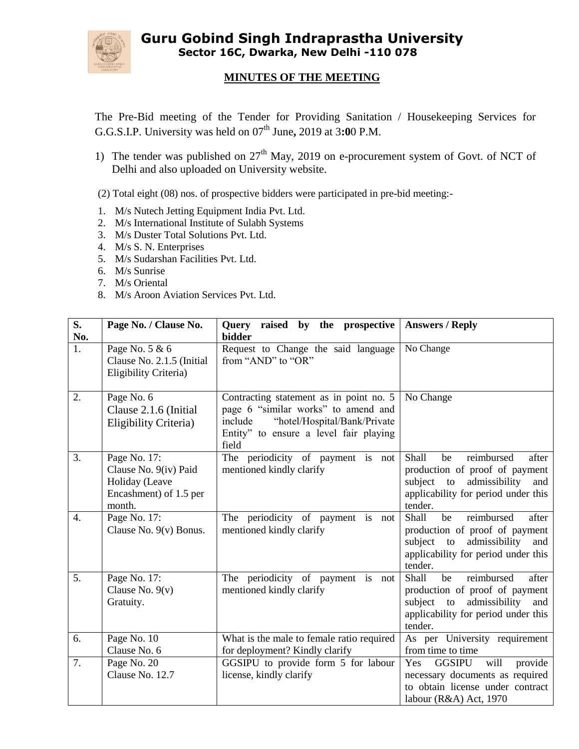

**Guru Gobind Singh Indraprastha University Sector 16C, Dwarka, New Delhi -110 078**

## **MINUTES OF THE MEETING**

The Pre-Bid meeting of the Tender for Providing Sanitation / Housekeeping Services for G.G.S.I.P. University was held on 07<sup>th</sup> June, 2019 at 3:00 P.M.

1) The tender was published on  $27<sup>th</sup>$  May, 2019 on e-procurement system of Govt. of NCT of Delhi and also uploaded on University website.

(2) Total eight (08) nos. of prospective bidders were participated in pre-bid meeting:-

- 1. M/s Nutech Jetting Equipment India Pvt. Ltd.
- 2. M/s International Institute of Sulabh Systems
- 3. M/s Duster Total Solutions Pvt. Ltd.
- 4. M/s S. N. Enterprises
- 5. M/s Sudarshan Facilities Pvt. Ltd.
- 6. M/s Sunrise
- 7. M/s Oriental
- 8. M/s Aroon Aviation Services Pvt. Ltd.

| S.<br>No.        | Page No. / Clause No.                                                                       | raised by<br>the prospective<br>Query<br>bidder                                                                                                                              | <b>Answers / Reply</b>                                                                                                                                          |
|------------------|---------------------------------------------------------------------------------------------|------------------------------------------------------------------------------------------------------------------------------------------------------------------------------|-----------------------------------------------------------------------------------------------------------------------------------------------------------------|
| 1.               | Page No. 5 & 6<br>Clause No. 2.1.5 (Initial<br>Eligibility Criteria)                        | Request to Change the said language<br>from "AND" to "OR"                                                                                                                    | No Change                                                                                                                                                       |
| 2.               | Page No. 6<br>Clause 2.1.6 (Initial<br><b>Eligibility Criteria</b> )                        | Contracting statement as in point no. 5<br>page 6 "similar works" to amend and<br>"hotel/Hospital/Bank/Private<br>include<br>Entity" to ensure a level fair playing<br>field | No Change                                                                                                                                                       |
| 3.               | Page No. 17:<br>Clause No. 9(iv) Paid<br>Holiday (Leave<br>Encashment) of 1.5 per<br>month. | The periodicity of payment is not<br>mentioned kindly clarify                                                                                                                | reimbursed<br>Shall<br>be<br>after<br>production of proof of payment<br>admissibility<br>subject to<br>and<br>applicability for period under this<br>tender.    |
| $\overline{4}$ . | Page No. 17:<br>Clause No. $9(v)$ Bonus.                                                    | The periodicity of payment is not<br>mentioned kindly clarify                                                                                                                | reimbursed<br>after<br>Shall<br>be<br>production of proof of payment<br>admissibility<br>subject<br>to<br>and<br>applicability for period under this<br>tender. |
| 5.               | Page No. 17:<br>Clause No. $9(v)$<br>Gratuity.                                              | The periodicity of payment is not<br>mentioned kindly clarify                                                                                                                | reimbursed<br>Shall<br>be<br>after<br>production of proof of payment<br>subject to admissibility<br>and<br>applicability for period under this<br>tender.       |
| 6.               | Page No. 10                                                                                 | What is the male to female ratio required                                                                                                                                    | As per University requirement                                                                                                                                   |
|                  | Clause No. 6                                                                                | for deployment? Kindly clarify                                                                                                                                               | from time to time                                                                                                                                               |
| 7.               | Page No. 20<br>Clause No. 12.7                                                              | GGSIPU to provide form 5 for labour<br>license, kindly clarify                                                                                                               | Yes<br><b>GGSIPU</b><br>will<br>provide<br>necessary documents as required<br>to obtain license under contract<br>labour (R&A) Act, 1970                        |